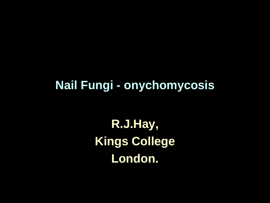## **Nail Fungi - onychomycosis**

**R.J.Hay, Kings College London.**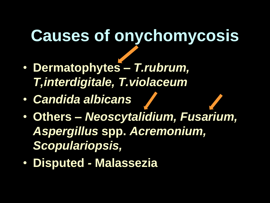# **Causes of onychomycosis**

- **Dermatophytes –** *T.rubrum, T,interdigitale, T.violaceum*
- *Candida albicans*
- **Others –** *Neoscytalidium, Fusarium, Aspergillus* **spp.** *Acremonium, Scopulariopsis,*
- **Disputed** *-* **Malassezia**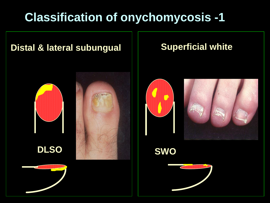## **Classification of onychomycosis -1**

# **Distal & lateral subungual DLSO SWO Superficial white**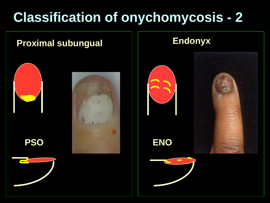# **Classification of onychomycosis - 2**

## **Proximal subungual Endonyx**



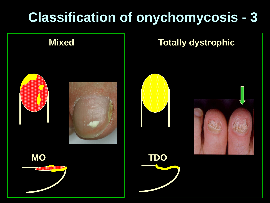# **Classification of onychomycosis - 3**

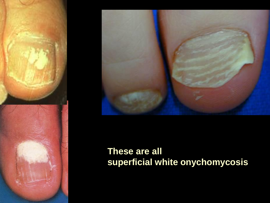



#### **These are all superficial white onychomycosis**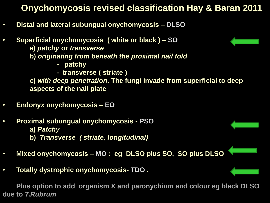#### **Onychomycosis revised classification Hay & Baran 2011**

- **Distal and lateral subungual onychomycosis – DLSO**
- **Superficial onychomycosis ( white or black ) – SO a)** *patchy* **or** *transverse* **b)** *originating from beneath the proximal nail fold*
	- **- patchy**
	- **- transverse ( striate )**

**c)** *with deep penetration***. The fungi invade from superficial to deep aspects of the nail plate**

- **Endonyx onychomycosis – EO**
- **Proximal subungual onychomycosis - PSO a)** *Patchy*
	- **b)** *Transverse ( striate, longitudinal)*
- **Mixed onychomycosis – MO : eg DLSO plus SO, SO plus DLSO**
- **Totally dystrophic onychomycosis- TDO .**

**Plus option to add organism X and paronychium and colour eg black DLSO due to** *T.Rubrum*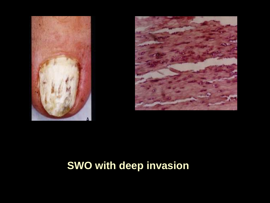



## **SWO with deep invasion**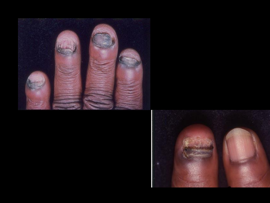

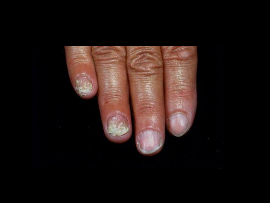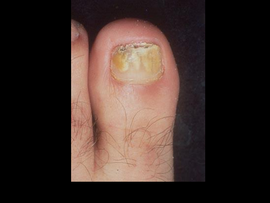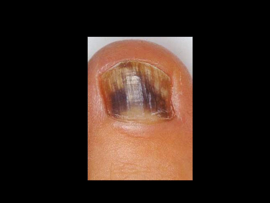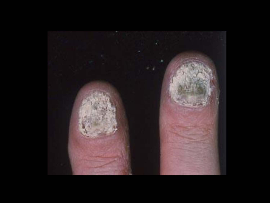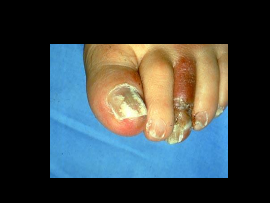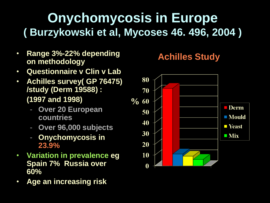## **Onychomycosis in Europe ( Burzykowski et al, Mycoses 46. 496, 2004 )**

- **Range 3%-22% depending on methodology**
- **Questionnaire v Clin v Lab**
- **Achilles survey( GP 76475) /study (Derm 19588) : (1997 and 1998)**
	- **Over 20 European countries**
	- **Over 96,000 subjects**
	- **Onychomycosis in 23.9%**
- **Variation in prevalence eg Spain 7% Russia over 60%**
- **Age an increasing risk**

#### **Achilles Study**

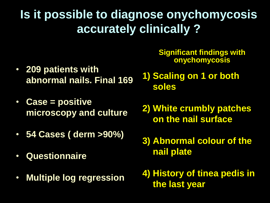**Is it possible to diagnose onychomycosis accurately clinically ?**

- **209 patients with abnormal nails. Final 169**
- **Case = positive microscopy and culture**
- **54 Cases ( derm >90%)**
- **Questionnaire**
- **Multiple log regression**

**Significant findings with onychomycosis**

- **1) Scaling on 1 or both soles**
- **2) White crumbly patches on the nail surface**
- **3) Abnormal colour of the nail plate**
- **4) History of tinea pedis in the last year**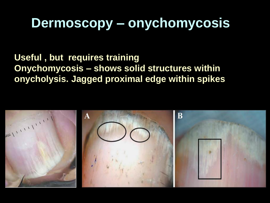## **Dermoscopy – onychomycosis**

**Useful , but requires training Onychomycosis – shows solid structures within onycholysis. Jagged proximal edge within spikes**

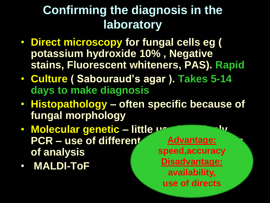## **Confirming the diagnosis in the laboratory**

- **Direct microscopy for fungal cells eg ( potassium hydroxide 10% , Negative stains, Fluorescent whiteners, PAS). Rapid**
- **Culture ( Sabouraud's agar ). Takes 5-14 days to make diagnosis**
- **Histopathology – often specific because of fungal morphology**
- **Molecular genetic little use PCR – use of different of analysis**
- **MALDI-ToF**

**Advantage: speed,accuracy Disadvantage: availability, use of directs**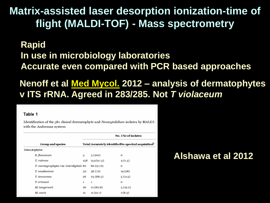#### **Matrix-assisted laser desorption ionization-time of flight (MALDI-TOF) - Mass spectrometry**

#### **Rapid**

**In use in microbiology laboratories Accurate even compared with PCR based approaches**

**Nenoff et al Med Mycol. 2012 – analysis of dermatophytes v ITS rRNA. Agreed in 283/285. Not** *T violaceum*

#### Table 1

Identification of the 381 clinical dermatophyte and Neoscytalidium isolates by MALDIwith the Andromas system

|                                         |     | No. (%) of isolates |                                                    |  |
|-----------------------------------------|-----|---------------------|----------------------------------------------------|--|
| Group and species                       |     |                     | Total Accurately identifiedNo spectral acquisition |  |
| Dermatophytes                           |     |                     |                                                    |  |
| E. floccosum                            | 5.  | 5(100)              | $\circ$                                            |  |
| T. rubrum                               | 158 | 154(97.5)           | 4(2.5)                                             |  |
| T. mentagrophytes var. interdigitale 82 |     | 80 (97.6)           | o                                                  |  |
| T. soudanense                           | 50  | 36(72)              | 14 (28)                                            |  |
| T. tonsurans                            | 26  | 23(88.5)            | 3(11.5)                                            |  |
| T. erinacei                             | 1   | $\mathbf{1}$        | $\Omega$                                           |  |
| M. langeronii                           | 26  | 21(80.8)            | 5(19.2)                                            |  |
| M. canis                                | 12  | 11(91.7)            | 1(8.3)                                             |  |

#### **Alshawa et al 2012**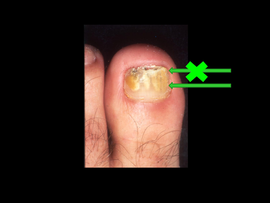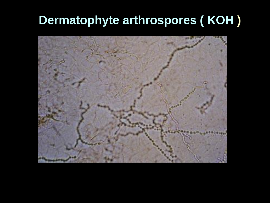## **Dermatophyte arthrospores ( KOH )**

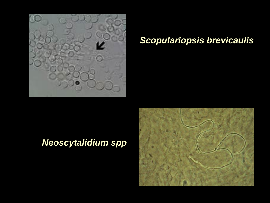

#### *Scopulariopsis brevicaulis*

#### *Neoscytalidium spp*

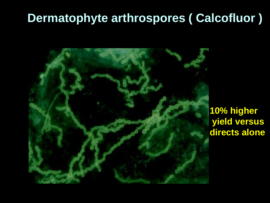## **Dermatophyte arthrospores ( Calcofluor )**



#### **10% higher yield versus directs alone**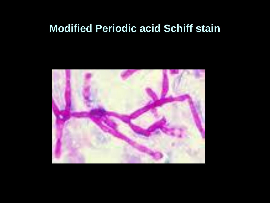#### **Modified Periodic acid Schiff stain**

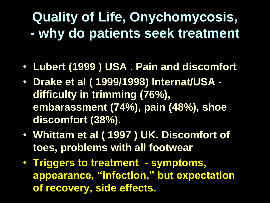## **Quality of Life, Onychomycosis, - why do patients seek treatment**

- **Lubert (1999 ) USA . Pain and discomfort**
- **Drake et al ( 1999/1998) Internat/USA difficulty in trimming (76%), embarassment (74%), pain (48%), shoe discomfort (38%).**
- **Whittam et al ( 1997 ) UK. Discomfort of toes, problems with all footwear**
- **Triggers to treatment - symptoms, appearance, "infection," but expectation of recovery, side effects.**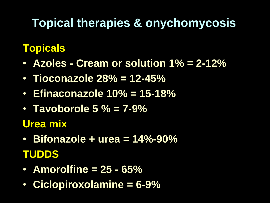## **Topical therapies & onychomycosis**

## **Topicals**

- **Azoles - Cream or solution 1% = 2-12%**
- **Tioconazole 28% = 12-45%**
- **Efinaconazole 10% = 15-18%**
- **Tavoborole 5 % = 7-9%**

**Urea mix**

- **Bifonazole + urea = 14%-90% TUDDS**
- **Amorolfine = 25 - 65%**
- **Ciclopiroxolamine = 6-9%**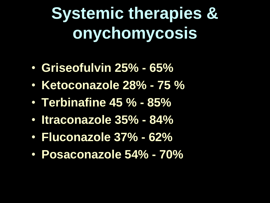# **Systemic therapies & onychomycosis**

- **Griseofulvin 25% - 65%**
- **Ketoconazole 28% - 75 %**
- **Terbinafine 45 % - 85%**
- **Itraconazole 35% - 84%**
- **Fluconazole 37% - 62%**
- **Posaconazole 54% - 70%**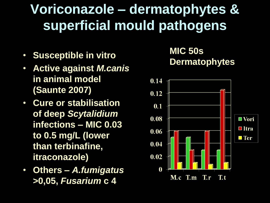# **Voriconazole – dermatophytes & superficial mould pathogens**

- **Susceptible in vitro**
- **Active against** *M.canis*  **in animal model (Saunte 2007)**
- **Cure or stabilisation of deep** *Scytalidium*  **infections – MIC 0.03 to 0.5 mg/L (lower than terbinafine, itraconazole)**
- **Others –** *A.fumigatus* **>0,05,** *Fusarium* **c 4**

#### **MIC 50s Dermatophytes**

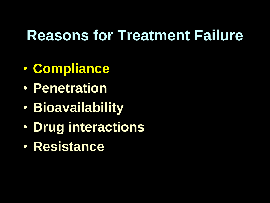# **Reasons for Treatment Failure**

- **Compliance**
- **Penetration**
- **Bioavailability**
- **Drug interactions**
- **Resistance**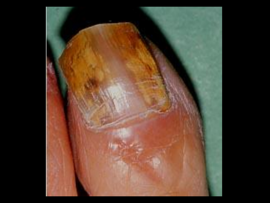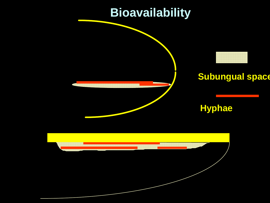## **Bioavailability**



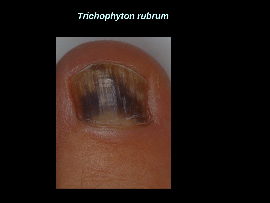#### *Trichophyton rubrum*

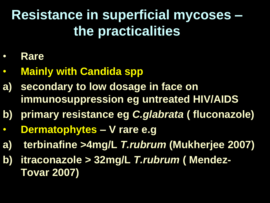# **Resistance in superficial mycoses – the practicalities**

- **Rare**
- **Mainly with Candida spp**
- **a) secondary to low dosage in face on immunosuppression eg untreated HIV/AIDS**
- **b) primary resistance eg** *C.glabrata* **( fluconazole)**
- **Dermatophytes – V rare e.g**
- **a) terbinafine >4mg/L** *T.rubrum* **(Mukherjee 2007)**
- **b) itraconazole > 32mg/L** *T.rubrum* **( Mendez-Tovar 2007)**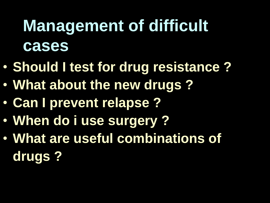# **Management of difficult cases**

- **Should I test for drug resistance ?**
- **What about the new drugs ?**
- **Can I prevent relapse ?**
- **When do i use surgery ?**
- **What are useful combinations of drugs ?**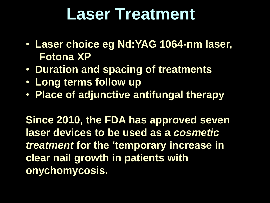# **Laser Treatment**

- **Laser choice eg Nd:YAG 1064-nm laser, Fotona XP**
- **Duration and spacing of treatments**
- **Long terms follow up**
- **Place of adjunctive antifungal therapy**

**Since 2010, the FDA has approved seven laser devices to be used as a** *cosmetic treatment* **for the 'temporary increase in clear nail growth in patients with onychomycosis.**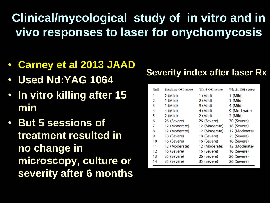## **Clinical/mycological study of in vitro and in vivo responses to laser for onychomycosis**

- **Carney et al 2013 JAAD**
- **Used Nd:YAG 1064**
- **In vitro killing after 15 min**
- **But 5 sessions of treatment resulted in no change in microscopy, culture or severity after 6 months**

#### **Severity index after laser Rx**

| <b>Nail</b> | <b>Baseline OSI score</b> | Wk-5 OSI score | Wk-24 OSI score |
|-------------|---------------------------|----------------|-----------------|
| 1           | $2 \ (Mild)$              | 1 (Mild)       | 1 (Mild)        |
| 2           | $1 \n(Mild)$              | 2 (Mild)       | (Mild)          |
| 3           | $1 \n(Mild)$              | 9 (Mild)       | 4 (Mild)        |
| 4           | 4 (Mild)                  | 4 (Mild)       | 9 (Moderate)    |
| 5           | $2 \ (Mild)$              | $2 \n(Mild)$   | $2 \ (Mild)$    |
| 6           | 26 (Severe)               | 26 (Severe)    | 30 (Severe)     |
| 7           | 12 (Moderate)             | 12 (Moderate)  | 18 (Severe)     |
| 8           | 12 (Moderate)             | 12 (Moderate)  | 12 (Moderate)   |
| 9           | 18 (Severe)               | 18 (Severe)    | 25 (Severe)     |
| 10          | 16 (Severe)               | 16 (Severe)    | 16 (Severe)     |
| 11          | 12 (Moderate)             | 12 (Moderate)  | 12 (Moderate)   |
| 12          | 16 (Severe)               | 16 (Severe)    | 16 (Severe)     |
| 13          | 35 (Severe)               | 26 (Severe)    | 26 (Severe)     |
| 14          | 35 (Severe)               | 35 (Severe)    | 26 (Severe)     |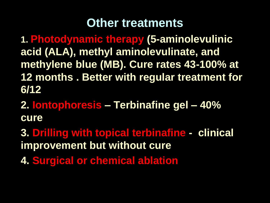## **Other treatments**

**1. Photodynamic therapy (5-aminolevulinic acid (ALA), methyl aminolevulinate, and methylene blue (MB). Cure rates 43-100% at 12 months . Better with regular treatment for 6/12**

**2. Iontophoresis – Terbinafine gel – 40% cure**

**3. Drilling with topical terbinafine - clinical improvement but without cure**

**4. Surgical or chemical ablation**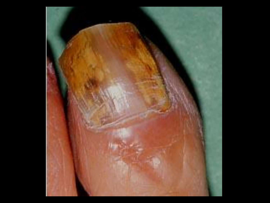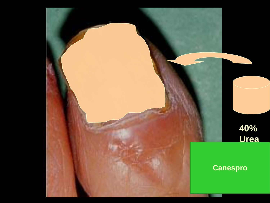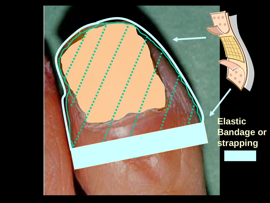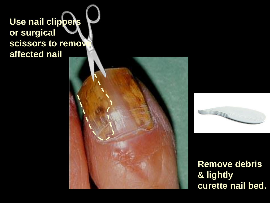### **Use nail clippers or surgical scissors to remove affected nail**





**Remove debris & lightly curette nail bed.**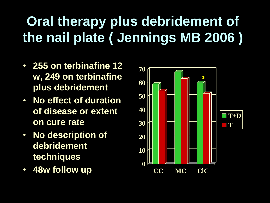# **Oral therapy plus debridement of the nail plate ( Jennings MB 2006 )**

- **255 on terbinafine 12 w, 249 on terbinafine plus debridement**
- **No effect of duration of disease or extent on cure rate**
- **No description of debridement techniques**
- **48w follow up**

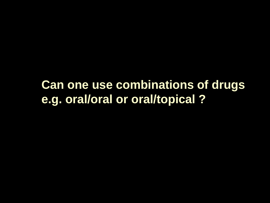**Can one use combinations of drugs e.g. oral/oral or oral/topical ?**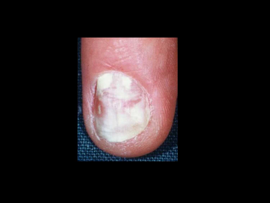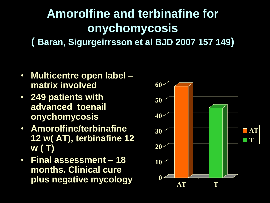## **Amorolfine and terbinafine for onychomycosis ( Baran, Sigurgeirrsson et al BJD 2007 157 149)**

- **Multicentre open label – matrix involved**
- **249 patients with advanced toenail onychomycosis**
- **Amorolfine/terbinafine 12 w( AT), terbinafine 12 w ( T)**
- **Final assessment – 18 months. Clinical cure plus negative mycology**

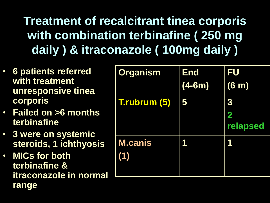**Treatment of recalcitrant tinea corporis with combination terbinafine ( 250 mg daily ) & itraconazole ( 100mg daily )**

- **6 patients referred with treatment unresponsive tinea corporis**
- **Failed on >6 months terbinafine**
- **3 were on systemic steroids, 1 ichthyosis**
- **MICs for both terbinafine & itraconazole in normal range**

| <b>Organism</b> | <b>End</b> | <b>FU</b>               |
|-----------------|------------|-------------------------|
|                 | $(4-6m)$   | (6 <sub>m</sub> )       |
| T.rubrum (5)    | 5          | 3                       |
|                 |            | $\overline{\mathbf{2}}$ |
|                 |            | relapsed                |
| <b>M.canis</b>  | 1          |                         |
| (1)             |            |                         |
|                 |            |                         |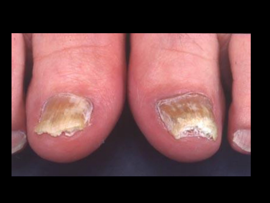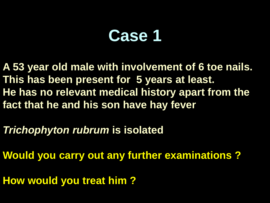**A 53 year old male with involvement of 6 toe nails. This has been present for 5 years at least. He has no relevant medical history apart from the fact that he and his son have hay fever**

*Trichophyton rubrum* **is isolated**

**Would you carry out any further examinations ?**

**How would you treat him ?**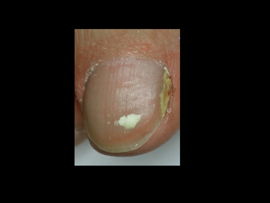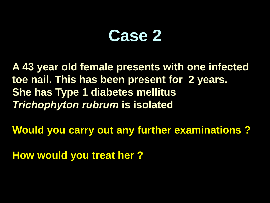**A 43 year old female presents with one infected toe nail. This has been present for 2 years. She has Type 1 diabetes mellitus** *Trichophyton rubrum* **is isolated**

**Would you carry out any further examinations ?**

**How would you treat her ?**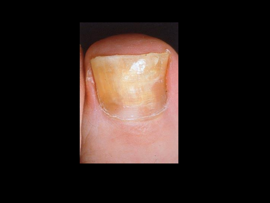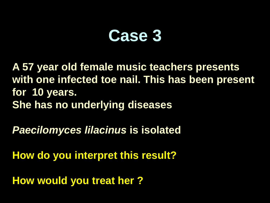**A 57 year old female music teachers presents with one infected toe nail. This has been present for 10 years. She has no underlying diseases**

*Paecilomyces lilacinus* **is isolated**

**How do you interpret this result?**

**How would you treat her ?**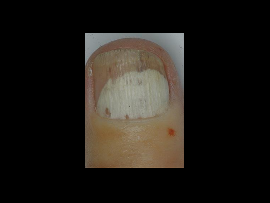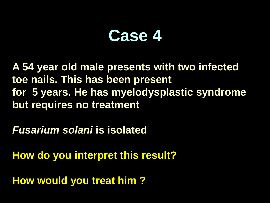**A 54 year old male presents with two infected toe nails. This has been present for 5 years. He has myelodysplastic syndrome but requires no treatment**

*Fusarium solani* **is isolated**

**How do you interpret this result?**

**How would you treat him ?**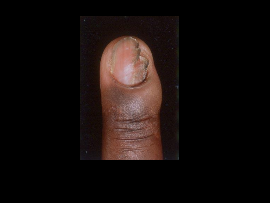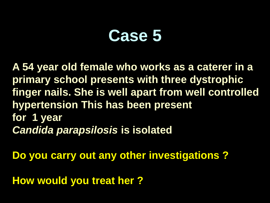**A 54 year old female who works as a caterer in a primary school presents with three dystrophic finger nails. She is well apart from well controlled hypertension This has been present for 1 year** *Candida parapsilosis* **is isolated**

**Do you carry out any other investigations ?**

**How would you treat her ?**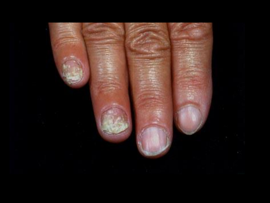